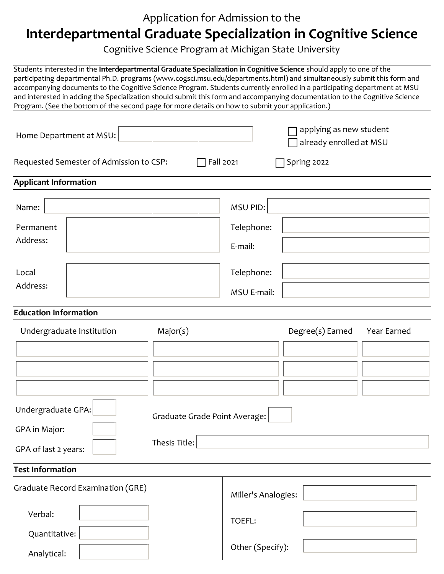## Application for Admission to the **Interdepartmental Graduate Specialization in Cognitive Science**

Cognitive Science Program at Michigan State University

Students interested in the **Interdepartmental Graduate Specialization in Cognitive Science** should apply to one of the participating departmental Ph.D. programs (www.cogsci.msu.edu/departments.html) and simultaneously submit this form and accompanying documents to the Cognitive Science Program. Students currently enrolled in a participating department at MSU and interested in adding the Specialization should submit this form and accompanying documentation to the Cognitive Science Program. (See the bottom of the second page for more details on how to submit your application.)

| Home Department at MSU:                                                      | applying as new student<br>already enrolled at MSU       |
|------------------------------------------------------------------------------|----------------------------------------------------------|
| Requested Semester of Admission to CSP:                                      | Fall 2021<br>Spring 2022                                 |
| <b>Applicant Information</b>                                                 |                                                          |
| Name:                                                                        | MSU PID:                                                 |
| Permanent<br>Address:                                                        | Telephone:<br>E-mail:                                    |
| Local<br>Address:                                                            | Telephone:<br>MSU E-mail:                                |
| <b>Education Information</b>                                                 |                                                          |
| Major(s)<br>Undergraduate Institution                                        | Degree(s) Earned<br>Year Earned                          |
| Undergraduate GPA:<br>GPA in Major:<br>Thesis Title:<br>GPA of last 2 years: | Graduate Grade Point Average:                            |
| <b>Test Information</b>                                                      |                                                          |
| Graduate Record Examination (GRE)<br>Verbal:<br>Quantitative:                | Miller's Analogies:<br><b>TOEFL:</b><br>Other (Specify): |
| Analytical:                                                                  |                                                          |